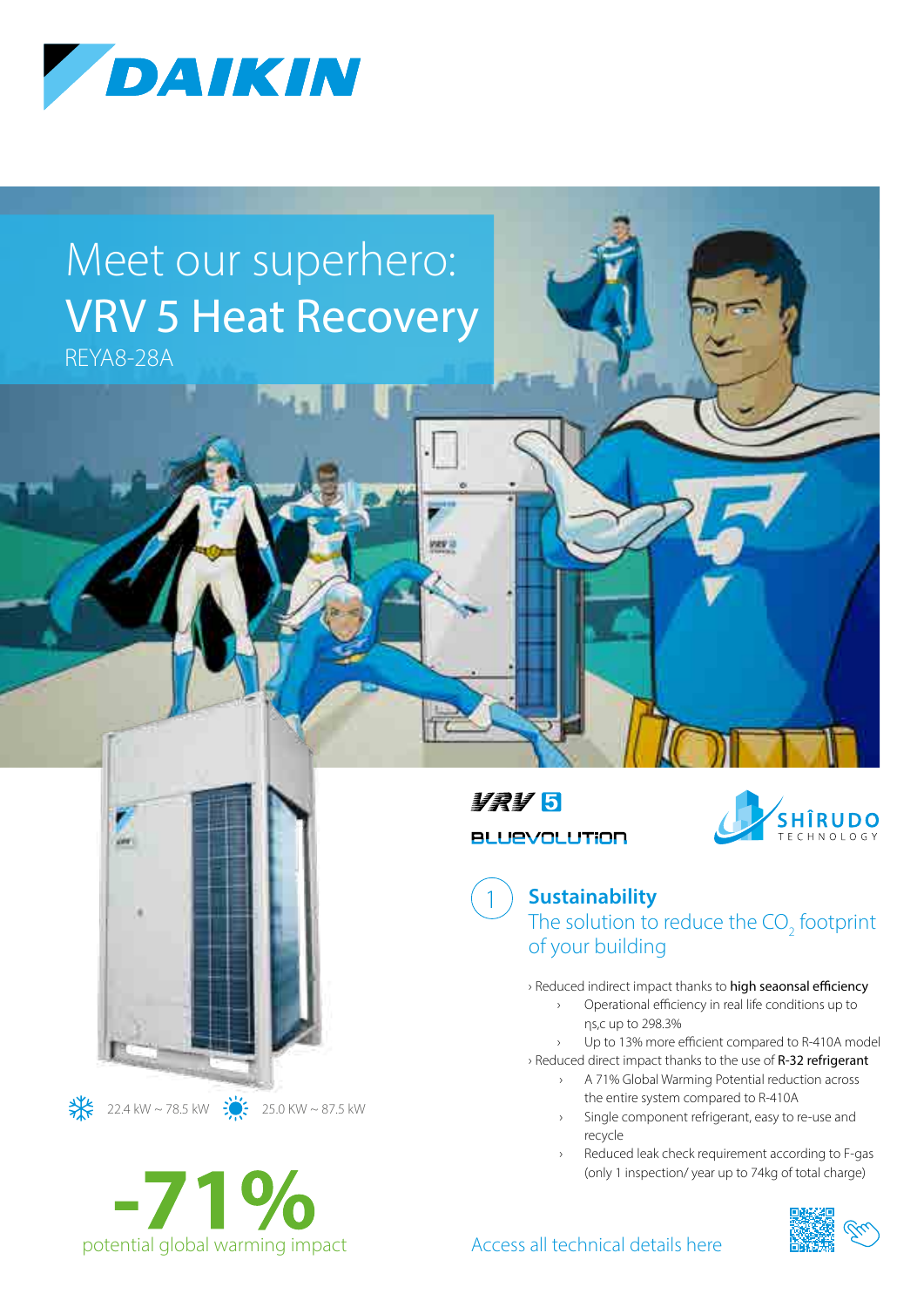

# Meet our superhero: VRV 5 Heat Recovery

REYA8-28A





 $\frac{11}{26}$  22.4 kW ~ 78.5 kW  $\frac{11}{26}$  25.0 KW ~ 87.5 kW

11215 **BLUEVOLUTION** 

1



**Sustainability** The solution to reduce the  $CO<sub>2</sub>$  footprint of your building

› Reduced indirect impact thanks to high seaonsal efficiency

- › Operational efficiency in real life conditions up to ηs,c up to 298.3%
- Up to 13% more efficient compared to R-410A model

› Reduced direct impact thanks to the use of R-32 refrigerant

- › A 71% Global Warming Potential reduction across the entire system compared to R-410A
	- › Single component refrigerant, easy to re-use and recycle
- Reduced leak check requirement according to F-gas (only 1 inspection/ year up to 74kg of total charge)